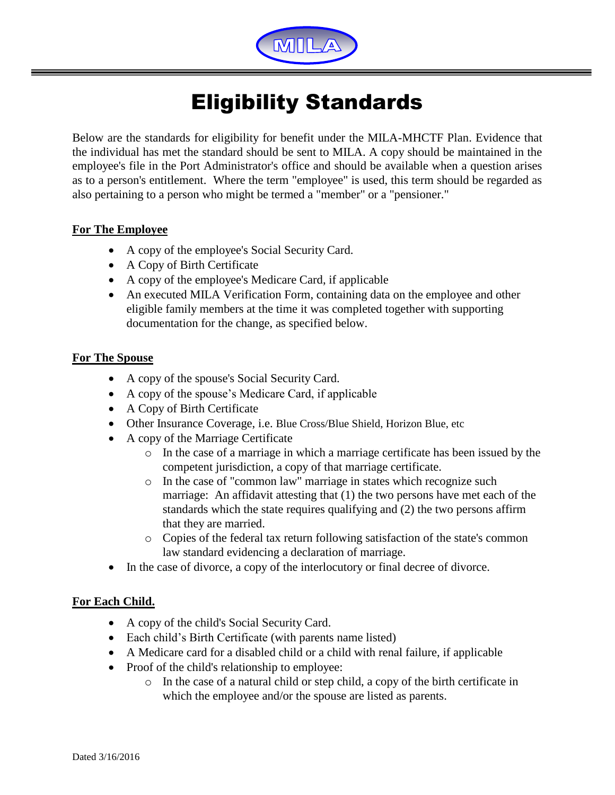

## Eligibility Standards

Below are the standards for eligibility for benefit under the MILA-MHCTF Plan. Evidence that the individual has met the standard should be sent to MILA. A copy should be maintained in the employee's file in the Port Administrator's office and should be available when a question arises as to a person's entitlement. Where the term "employee" is used, this term should be regarded as also pertaining to a person who might be termed a "member" or a "pensioner."

## **For The Employee**

- A copy of the employee's Social Security Card.
- A Copy of Birth Certificate
- A copy of the employee's Medicare Card, if applicable
- An executed MILA Verification Form, containing data on the employee and other eligible family members at the time it was completed together with supporting documentation for the change, as specified below.

## **For The Spouse**

- A copy of the spouse's Social Security Card.
- A copy of the spouse's Medicare Card, if applicable
- A Copy of Birth Certificate
- Other Insurance Coverage, i.e. Blue Cross/Blue Shield, Horizon Blue, etc
- A copy of the Marriage Certificate
	- o In the case of a marriage in which a marriage certificate has been issued by the competent jurisdiction, a copy of that marriage certificate.
	- o In the case of "common law" marriage in states which recognize such marriage: An affidavit attesting that (1) the two persons have met each of the standards which the state requires qualifying and (2) the two persons affirm that they are married.
	- o Copies of the federal tax return following satisfaction of the state's common law standard evidencing a declaration of marriage.
- In the case of divorce, a copy of the interlocutory or final decree of divorce.

## **For Each Child.**

- A copy of the child's Social Security Card.
- Each child's Birth Certificate (with parents name listed)
- A Medicare card for a disabled child or a child with renal failure, if applicable
- Proof of the child's relationship to employee:
	- o In the case of a natural child or step child, a copy of the birth certificate in which the employee and/or the spouse are listed as parents.